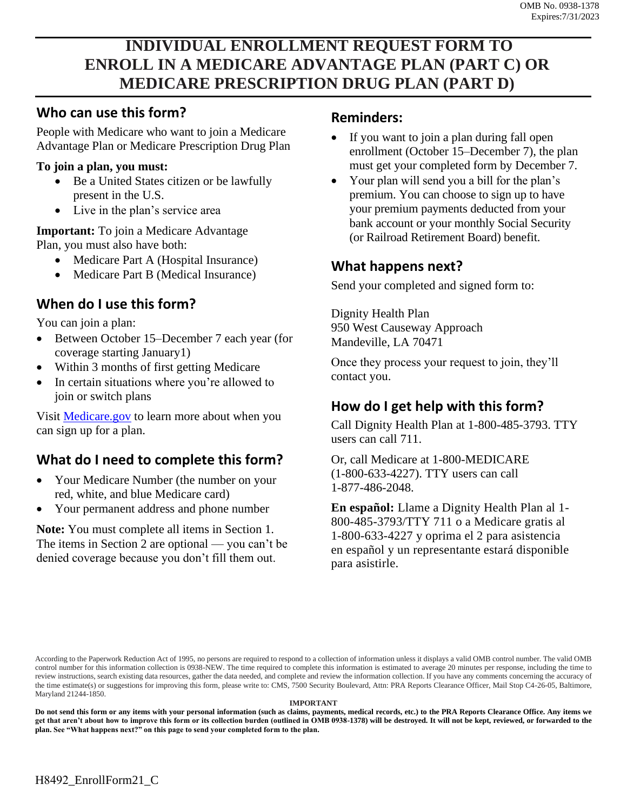# **INDIVIDUAL ENROLLMENT REQUEST FORM TO ENROLL IN A MEDICARE ADVANTAGE PLAN (PART C) OR MEDICARE PRESCRIPTION DRUG PLAN (PART D)**

### **Who can use this form?**

People with Medicare who want to join a Medicare Advantage Plan or Medicare Prescription Drug Plan

#### **To join a plan, you must:**

- Be a United States citizen or be lawfully present in the U.S.
- Live in the plan's service area

**Important:** To join a Medicare Advantage Plan, you must also have both:

- Medicare Part A (Hospital Insurance)
- Medicare Part B (Medical Insurance)

## **When do I use this form?**

You can join a plan:

- Between October 15–December 7 each year (for coverage starting January1)
- Within 3 months of first getting Medicare
- In certain situations where you're allowed to join or switch plans

Visit [Medicare.gov](http://Medicare.gov) to learn more about when you can sign up for a plan.

## **What do I need to complete this form?**

- Your Medicare Number (the number on your red, white, and blue Medicare card)
- Your permanent address and phone number

**Note:** You must complete all items in Section 1. The items in Section 2 are optional — you can't be denied coverage because you don't fill them out.

#### **Reminders:**

- If you want to join a plan during fall open enrollment (October 15–December 7), the plan must get your completed form by December 7.
- Your plan will send you a bill for the plan's premium. You can choose to sign up to have your premium payments deducted from your bank account or your monthly Social Security (or Railroad Retirement Board) benefit.

## **What happens next?**

Send your completed and signed form to:

Dignity Health Plan 950 West Causeway Approach Mandeville, LA 70471

Once they process your request to join, they'll contact you.

### **How do I get help with this form?**

Call Dignity Health Plan at 1-800-485-3793. TTY users can call 711.

Or, call Medicare at 1-800-MEDICARE (1-800-633-4227). TTY users can call 1-877-486-2048.

**En español:** Llame a Dignity Health Plan al 1- 800-485-3793/TTY 711 o a Medicare gratis al 1-800-633-4227 y oprima el 2 para asistencia en español y un representante estará disponible para asistirle.

According to the Paperwork Reduction Act of 1995, no persons are required to respond to a collection of information unless it displays a valid OMB control number. The valid OMB control number for this information collection is 0938-NEW. The time required to complete this information is estimated to average 20 minutes per response, including the time to review instructions, search existing data resources, gather the data needed, and complete and review the information collection. If you have any comments concerning the accuracy of the time estimate(s) or suggestions for improving this form, please write to: CMS, 7500 Security Boulevard, Attn: PRA Reports Clearance Officer, Mail Stop C4-26-05, Baltimore, Maryland 21244-1850.

#### **IMPORTANT**

**Do not send this form or any items with your personal information (such as claims, payments, medical records, etc.) to the PRA Reports Clearance Office. Any items we get that aren't about how to improve this form or its collection burden (outlined in OMB 0938-1378) will be destroyed. It will not be kept, reviewed, or forwarded to the plan. See "What happens next?" on this page to send your completed form to the plan.**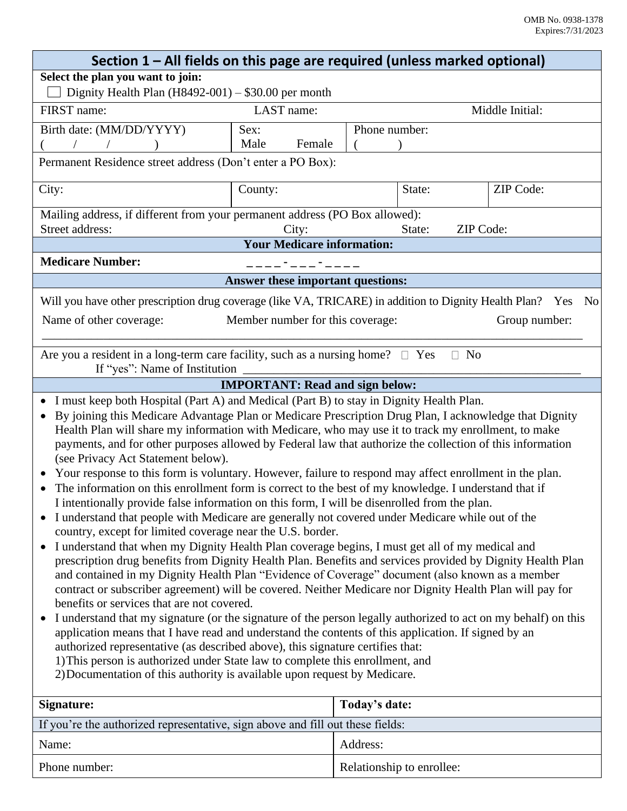|                                                                                                                                                                                                             |                                   | Section 1 – All fields on this page are required (unless marked optional) |                 |  |
|-------------------------------------------------------------------------------------------------------------------------------------------------------------------------------------------------------------|-----------------------------------|---------------------------------------------------------------------------|-----------------|--|
| Select the plan you want to join:                                                                                                                                                                           |                                   |                                                                           |                 |  |
| Dignity Health Plan $(H8492-001) - $30.00$ per month                                                                                                                                                        |                                   |                                                                           |                 |  |
| FIRST name:                                                                                                                                                                                                 | LAST name:                        |                                                                           | Middle Initial: |  |
| Birth date: (MM/DD/YYYY)                                                                                                                                                                                    | Sex:                              | Phone number:                                                             |                 |  |
| $\sqrt{2}$<br>$\sqrt{2}$                                                                                                                                                                                    | Male<br>Female                    |                                                                           |                 |  |
| Permanent Residence street address (Don't enter a PO Box):                                                                                                                                                  |                                   |                                                                           |                 |  |
| City:                                                                                                                                                                                                       | County:                           | State:                                                                    | ZIP Code:       |  |
| Mailing address, if different from your permanent address (PO Box allowed):                                                                                                                                 |                                   |                                                                           |                 |  |
| Street address:                                                                                                                                                                                             | City:                             | ZIP Code:<br>State:                                                       |                 |  |
|                                                                                                                                                                                                             | <b>Your Medicare information:</b> |                                                                           |                 |  |
| <b>Medicare Number:</b>                                                                                                                                                                                     |                                   |                                                                           |                 |  |
|                                                                                                                                                                                                             | Answer these important questions: |                                                                           |                 |  |
| Will you have other prescription drug coverage (like VA, TRICARE) in addition to Dignity Health Plan? Yes                                                                                                   |                                   |                                                                           | No              |  |
| Name of other coverage:                                                                                                                                                                                     | Member number for this coverage:  |                                                                           | Group number:   |  |
| Are you a resident in a long-term care facility, such as a nursing home? $\square$ Yes                                                                                                                      |                                   | $\Box$<br>N <sub>0</sub>                                                  |                 |  |
| If "yes": Name of Institution _                                                                                                                                                                             |                                   |                                                                           |                 |  |
| <b>IMPORTANT: Read and sign below:</b>                                                                                                                                                                      |                                   |                                                                           |                 |  |
| • I must keep both Hospital (Part A) and Medical (Part B) to stay in Dignity Health Plan.                                                                                                                   |                                   |                                                                           |                 |  |
| By joining this Medicare Advantage Plan or Medicare Prescription Drug Plan, I acknowledge that Dignity                                                                                                      |                                   |                                                                           |                 |  |
| Health Plan will share my information with Medicare, who may use it to track my enrollment, to make                                                                                                         |                                   |                                                                           |                 |  |
| payments, and for other purposes allowed by Federal law that authorize the collection of this information<br>(see Privacy Act Statement below).                                                             |                                   |                                                                           |                 |  |
| Your response to this form is voluntary. However, failure to respond may affect enrollment in the plan.                                                                                                     |                                   |                                                                           |                 |  |
| The information on this enrollment form is correct to the best of my knowledge. I understand that if                                                                                                        |                                   |                                                                           |                 |  |
| I intentionally provide false information on this form, I will be disenrolled from the plan.                                                                                                                |                                   |                                                                           |                 |  |
| • I understand that people with Medicare are generally not covered under Medicare while out of the                                                                                                          |                                   |                                                                           |                 |  |
| country, except for limited coverage near the U.S. border.                                                                                                                                                  |                                   |                                                                           |                 |  |
| I understand that when my Dignity Health Plan coverage begins, I must get all of my medical and<br>$\bullet$                                                                                                |                                   |                                                                           |                 |  |
| prescription drug benefits from Dignity Health Plan. Benefits and services provided by Dignity Health Plan                                                                                                  |                                   |                                                                           |                 |  |
| and contained in my Dignity Health Plan "Evidence of Coverage" document (also known as a member<br>contract or subscriber agreement) will be covered. Neither Medicare nor Dignity Health Plan will pay for |                                   |                                                                           |                 |  |
| benefits or services that are not covered.                                                                                                                                                                  |                                   |                                                                           |                 |  |
| I understand that my signature (or the signature of the person legally authorized to act on my behalf) on this                                                                                              |                                   |                                                                           |                 |  |
| application means that I have read and understand the contents of this application. If signed by an                                                                                                         |                                   |                                                                           |                 |  |
| authorized representative (as described above), this signature certifies that:                                                                                                                              |                                   |                                                                           |                 |  |
| 1) This person is authorized under State law to complete this enrollment, and                                                                                                                               |                                   |                                                                           |                 |  |
| 2) Documentation of this authority is available upon request by Medicare.                                                                                                                                   |                                   |                                                                           |                 |  |
| Signature:                                                                                                                                                                                                  |                                   | Today's date:                                                             |                 |  |
| If you're the authorized representative, sign above and fill out these fields:                                                                                                                              |                                   |                                                                           |                 |  |
| Name:                                                                                                                                                                                                       |                                   | Address:                                                                  |                 |  |

| Phone number: | Relationship to enrollee: |
|---------------|---------------------------|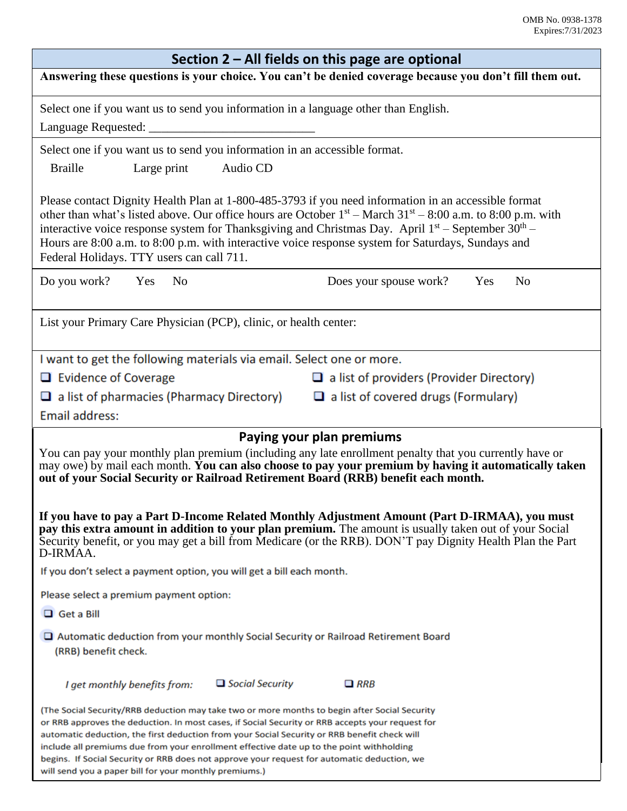| Section 2 – All fields on this page are optional                                                                                                                                                                                                                                                                                                                                                                                                                                                                                                       |  |  |  |  |
|--------------------------------------------------------------------------------------------------------------------------------------------------------------------------------------------------------------------------------------------------------------------------------------------------------------------------------------------------------------------------------------------------------------------------------------------------------------------------------------------------------------------------------------------------------|--|--|--|--|
| Answering these questions is your choice. You can't be denied coverage because you don't fill them out.                                                                                                                                                                                                                                                                                                                                                                                                                                                |  |  |  |  |
| Select one if you want us to send you information in a language other than English.                                                                                                                                                                                                                                                                                                                                                                                                                                                                    |  |  |  |  |
| Select one if you want us to send you information in an accessible format.<br>Audio CD<br><b>Braille</b><br>Large print                                                                                                                                                                                                                                                                                                                                                                                                                                |  |  |  |  |
| Please contact Dignity Health Plan at 1-800-485-3793 if you need information in an accessible format<br>other than what's listed above. Our office hours are October $1st$ – March 31 <sup>st</sup> – 8:00 a.m. to 8:00 p.m. with<br>interactive voice response system for Thanksgiving and Christmas Day. April $1st$ – September 30 <sup>th</sup> –<br>Hours are 8:00 a.m. to 8:00 p.m. with interactive voice response system for Saturdays, Sundays and<br>Federal Holidays. TTY users can call 711.                                               |  |  |  |  |
| Do you work? Yes<br>Does your spouse work?<br>Yes<br>N <sub>o</sub><br>N <sub>0</sub>                                                                                                                                                                                                                                                                                                                                                                                                                                                                  |  |  |  |  |
| List your Primary Care Physician (PCP), clinic, or health center:                                                                                                                                                                                                                                                                                                                                                                                                                                                                                      |  |  |  |  |
| I want to get the following materials via email. Select one or more.                                                                                                                                                                                                                                                                                                                                                                                                                                                                                   |  |  |  |  |
| $\Box$ Evidence of Coverage<br>$\Box$ a list of providers (Provider Directory)                                                                                                                                                                                                                                                                                                                                                                                                                                                                         |  |  |  |  |
| $\Box$ a list of pharmacies (Pharmacy Directory) $\Box$ a list of covered drugs (Formulary)                                                                                                                                                                                                                                                                                                                                                                                                                                                            |  |  |  |  |
| Email address:                                                                                                                                                                                                                                                                                                                                                                                                                                                                                                                                         |  |  |  |  |
| Paying your plan premiums                                                                                                                                                                                                                                                                                                                                                                                                                                                                                                                              |  |  |  |  |
| You can pay your monthly plan premium (including any late enrollment penalty that you currently have or<br>may owe) by mail each month. You can also choose to pay your premium by having it automatically taken<br>out of your Social Security or Railroad Retirement Board (RRB) benefit each month.                                                                                                                                                                                                                                                 |  |  |  |  |
| If you have to pay a Part D-Income Related Monthly Adjustment Amount (Part D-IRMAA), you must<br>pay this extra amount in addition to your plan premium. The amount is usually taken out of your Social<br>Security benefit, or you may get a bill from Medicare (or the RRB). DON'T pay Dignity Health Plan the Part<br>D-IRMAA.                                                                                                                                                                                                                      |  |  |  |  |
| If you don't select a payment option, you will get a bill each month.                                                                                                                                                                                                                                                                                                                                                                                                                                                                                  |  |  |  |  |
| Please select a premium payment option:                                                                                                                                                                                                                                                                                                                                                                                                                                                                                                                |  |  |  |  |
| $\Box$ Get a Bill                                                                                                                                                                                                                                                                                                                                                                                                                                                                                                                                      |  |  |  |  |
| $\Box$ Automatic deduction from your monthly Social Security or Railroad Retirement Board<br>(RRB) benefit check.                                                                                                                                                                                                                                                                                                                                                                                                                                      |  |  |  |  |
| $\Box$ Social Security<br>$\Box$ RRB<br>I get monthly benefits from:                                                                                                                                                                                                                                                                                                                                                                                                                                                                                   |  |  |  |  |
| (The Social Security/RRB deduction may take two or more months to begin after Social Security<br>or RRB approves the deduction. In most cases, if Social Security or RRB accepts your request for<br>automatic deduction, the first deduction from your Social Security or RRB benefit check will<br>include all premiums due from your enrollment effective date up to the point withholding<br>begins. If Social Security or RRB does not approve your request for automatic deduction, we<br>will send you a paper bill for your monthly premiums.) |  |  |  |  |